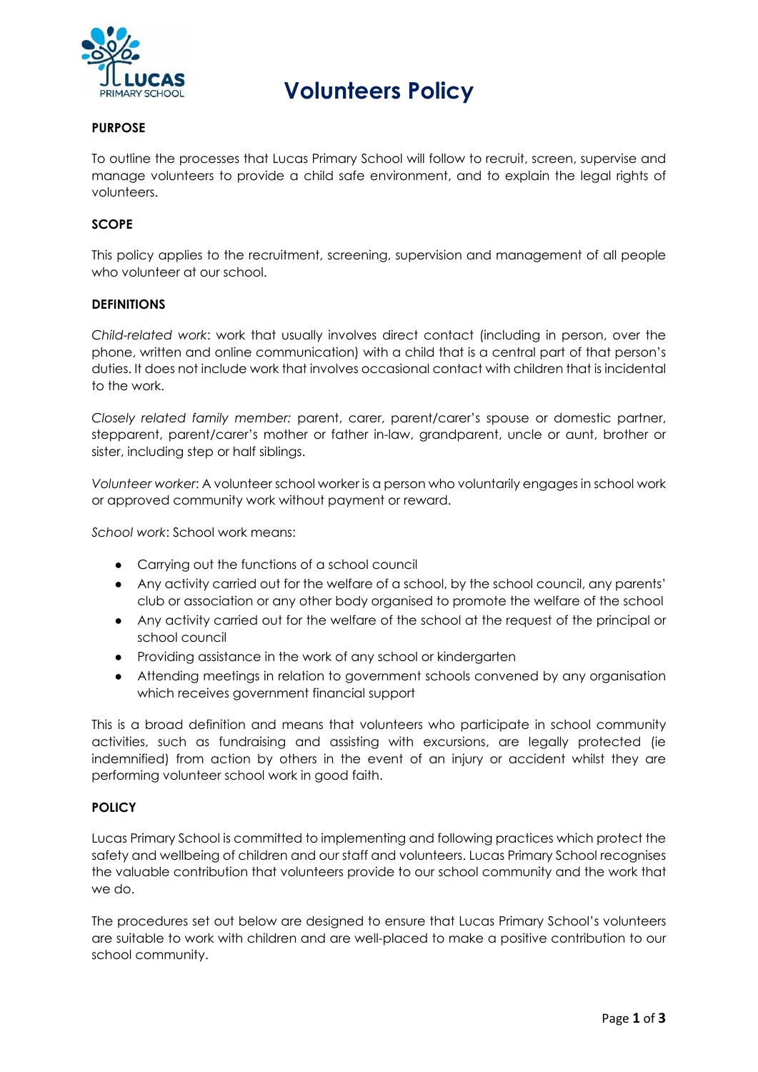

# **Volunteers Policy**

## **PURPOSE**

To outline the processes that Lucas Primary School will follow to recruit, screen, supervise and manage volunteers to provide a child safe environment, and to explain the legal rights of volunteers.

# **SCOPE**

This policy applies to the recruitment, screening, supervision and management of all people who volunteer at our school.

# **DEFINITIONS**

*Child-related work*: work that usually involves direct contact (including in person, over the phone, written and online communication) with a child that is a central part of that person's duties. It does not include work that involves occasional contact with children that is incidental to the work.

*Closely related family member:* parent, carer, parent/carer's spouse or domestic partner, stepparent, parent/carer's mother or father in-law, grandparent, uncle or aunt, brother or sister, including step or half siblings.

*Volunteer worker*: A volunteer school worker is a person who voluntarily engages in school work or approved community work without payment or reward.

*School work*: School work means:

- Carrying out the functions of a school council
- Any activity carried out for the welfare of a school, by the school council, any parents' club or association or any other body organised to promote the welfare of the school
- Any activity carried out for the welfare of the school at the request of the principal or school council
- Providing assistance in the work of any school or kindergarten
- Attending meetings in relation to government schools convened by any organisation which receives government financial support

This is a broad definition and means that volunteers who participate in school community activities, such as fundraising and assisting with excursions, are legally protected (ie indemnified) from action by others in the event of an injury or accident whilst they are performing volunteer school work in good faith.

## **POLICY**

Lucas Primary School is committed to implementing and following practices which protect the safety and wellbeing of children and our staff and volunteers. Lucas Primary School recognises the valuable contribution that volunteers provide to our school community and the work that we do.

The procedures set out below are designed to ensure that Lucas Primary School's volunteers are suitable to work with children and are well-placed to make a positive contribution to our school community.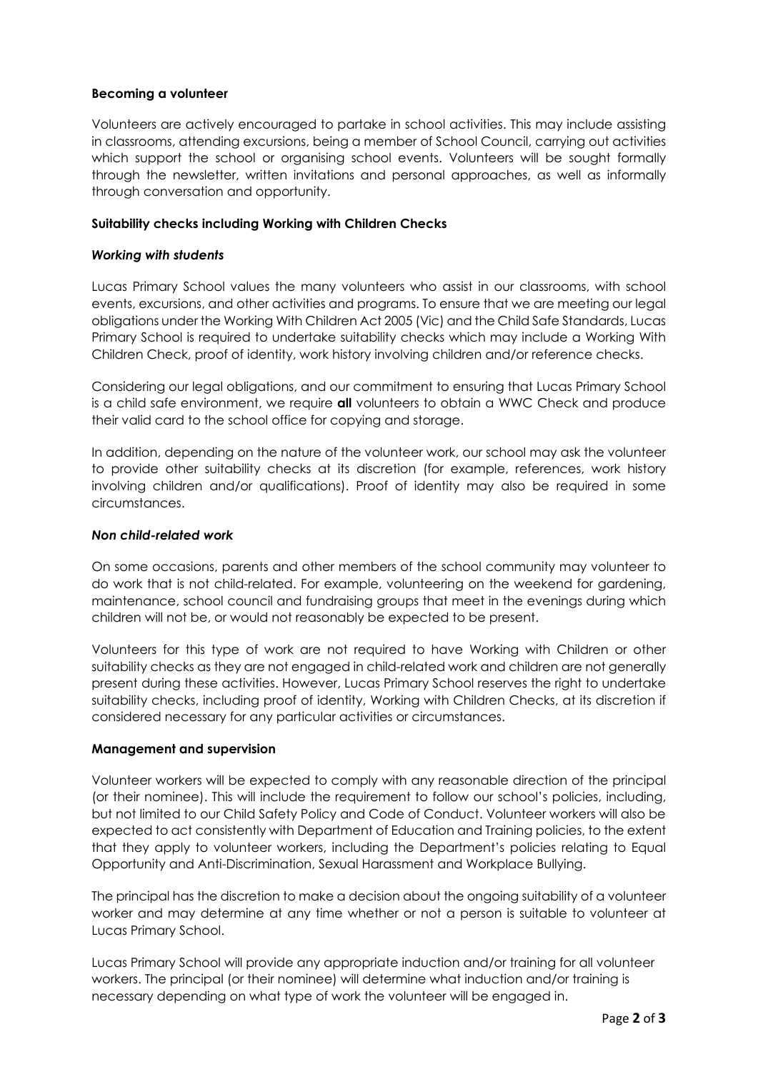# **Becoming a volunteer**

Volunteers are actively encouraged to partake in school activities. This may include assisting in classrooms, attending excursions, being a member of School Council, carrying out activities which support the school or organising school events. Volunteers will be sought formally through the newsletter, written invitations and personal approaches, as well as informally through conversation and opportunity.

# **Suitability checks including Working with Children Checks**

# *Working with students*

Lucas Primary School values the many volunteers who assist in our classrooms, with school events, excursions, and other activities and programs. To ensure that we are meeting our legal obligations under the Working With Children Act 2005 (Vic) and the Child Safe Standards, Lucas Primary School is required to undertake suitability checks which may include a Working With Children Check, proof of identity, work history involving children and/or reference checks.

Considering our legal obligations, and our commitment to ensuring that Lucas Primary School is a child safe environment, we require **all** volunteers to obtain a WWC Check and produce their valid card to the school office for copying and storage.

In addition, depending on the nature of the volunteer work, our school may ask the volunteer to provide other suitability checks at its discretion (for example, references, work history involving children and/or qualifications). Proof of identity may also be required in some circumstances.

## *Non child-related work*

On some occasions, parents and other members of the school community may volunteer to do work that is not child-related. For example, volunteering on the weekend for gardening, maintenance, school council and fundraising groups that meet in the evenings during which children will not be, or would not reasonably be expected to be present.

Volunteers for this type of work are not required to have Working with Children or other suitability checks as they are not engaged in child-related work and children are not generally present during these activities. However, Lucas Primary School reserves the right to undertake suitability checks, including proof of identity, Working with Children Checks, at its discretion if considered necessary for any particular activities or circumstances.

## **Management and supervision**

Volunteer workers will be expected to comply with any reasonable direction of the principal (or their nominee). This will include the requirement to follow our school's policies, including, but not limited to our Child Safety Policy and Code of Conduct. Volunteer workers will also be expected to act consistently with Department of Education and Training policies, to the extent that they apply to volunteer workers, including the Department's policies relating to Equal Opportunity and Anti-Discrimination, Sexual Harassment and Workplace Bullying.

The principal has the discretion to make a decision about the ongoing suitability of a volunteer worker and may determine at any time whether or not a person is suitable to volunteer at Lucas Primary School.

Lucas Primary School will provide any appropriate induction and/or training for all volunteer workers. The principal (or their nominee) will determine what induction and/or training is necessary depending on what type of work the volunteer will be engaged in.